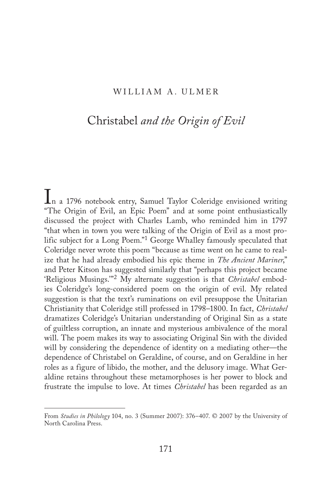## WILLIAM A. ULMER

# Christabel *and the Origin of Evil*

In a 1796 notebook entry, Samuel Taylor Coleridge envisioned writing "The Origin of Evil, an Epic Poem" and at some point enthusiastically discussed the project with Charles Lamb, who reminded him in 1797 "that when in town you were talking of the Origin of Evil as a most prolific subject for a Long Poem."1 George Whalley famously speculated that Coleridge never wrote this poem "because as time went on he came to realize that he had already embodied his epic theme in *The Ancient Mariner*," and Peter Kitson has suggested similarly that "perhaps this project became 'Religious Musings.'"2 My alternate suggestion is that *Christabel* embodies Coleridge's long-considered poem on the origin of evil. My related suggestion is that the text's ruminations on evil presuppose the Unitarian Christianity that Coleridge still professed in 1798–1800. In fact, *Christabel* dramatizes Coleridge's Unitarian understanding of Original Sin as a state of guiltless corruption, an innate and mysterious ambivalence of the moral will. The poem makes its way to associating Original Sin with the divided will by considering the dependence of identity on a mediating other—the dependence of Christabel on Geraldine, of course, and on Geraldine in her roles as a figure of libido, the mother, and the delusory image. What Geraldine retains throughout these metamorphoses is her power to block and frustrate the impulse to love. At times *Christabel* has been regarded as an

From *Studies in Philology* 104, no. 3 (Summer 2007): 376–407. © 2007 by the University of North Carolina Press.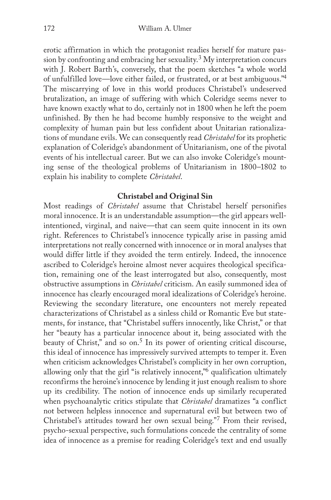erotic affirmation in which the protagonist readies herself for mature passion by confronting and embracing her sexuality.<sup>3</sup> My interpretation concurs with J. Robert Barth's, conversely, that the poem sketches "a whole world of unfulfilled love—love either failed, or frustrated, or at best ambiguous."4 The miscarrying of love in this world produces Christabel's undeserved brutalization, an image of suffering with which Coleridge seems never to have known exactly what to do, certainly not in 1800 when he left the poem unfinished. By then he had become humbly responsive to the weight and complexity of human pain but less confident about Unitarian rationalizations of mundane evils. We can consequently read *Christabel* for its prophetic explanation of Coleridge's abandonment of Unitarianism, one of the pivotal events of his intellectual career. But we can also invoke Coleridge's mounting sense of the theological problems of Unitarianism in 1800–1802 to explain his inability to complete *Christabel*.

### **Christabel and Original Sin**

Most readings of *Christabel* assume that Christabel herself personifies moral innocence. It is an understandable assumption—the girl appears wellintentioned, virginal, and naive—that can seem quite innocent in its own right. References to Christabel's innocence typically arise in passing amid interpretations not really concerned with innocence or in moral analyses that would differ little if they avoided the term entirely. Indeed, the innocence ascribed to Coleridge's heroine almost never acquires theological specification, remaining one of the least interrogated but also, consequently, most obstructive assumptions in *Christabel* criticism. An easily summoned idea of innocence has clearly encouraged moral idealizations of Coleridge's heroine. Reviewing the secondary literature, one encounters not merely repeated characterizations of Christabel as a sinless child or Romantic Eve but statements, for instance, that "Christabel suffers innocently, like Christ," or that her "beauty has a particular innocence about it, being associated with the beauty of Christ," and so on.<sup>5</sup> In its power of orienting critical discourse, this ideal of innocence has impressively survived attempts to temper it. Even when criticism acknowledges Christabel's complicity in her own corruption, allowing only that the girl "is relatively innocent,"6 qualification ultimately reconfirms the heroine's innocence by lending it just enough realism to shore up its credibility. The notion of innocence ends up similarly recuperated when psychoanalytic critics stipulate that *Christabel* dramatizes "a conflict not between helpless innocence and supernatural evil but between two of Christabel's attitudes toward her own sexual being."7 From their revised, psycho-sexual perspective, such formulations concede the centrality of some idea of innocence as a premise for reading Coleridge's text and end usually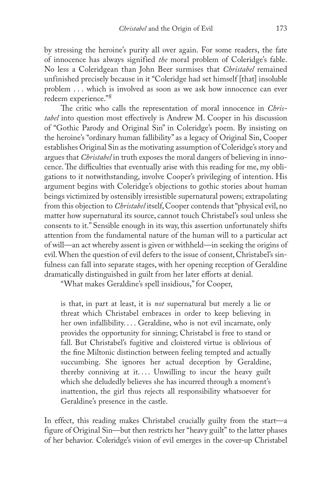by stressing the heroine's purity all over again. For some readers, the fate of innocence has always signified *the* moral problem of Coleridge's fable. No less a Coleridgean than John Beer surmises that *Christabel* remained unfinished precisely because in it "Coleridge had set himself [that] insoluble problem . . . which is involved as soon as we ask how innocence can ever redeem experience."<sup>8</sup>

The critic who calls the representation of moral innocence in *Christabel* into question most effectively is Andrew M. Cooper in his discussion of "Gothic Parody and Original Sin" in Coleridge's poem. By insisting on the heroine's "ordinary human fallibility" as a legacy of Original Sin, Cooper establishes Original Sin as the motivating assumption of Coleridge's story and argues that *Christabel* in truth exposes the moral dangers of believing in innocence. The difficulties that eventually arise with this reading for me, my obligations to it notwithstanding, involve Cooper's privileging of intention. His argument begins with Coleridge's objections to gothic stories about human beings victimized by ostensibly irresistible supernatural powers; extrapolating from this objection to *Christabel* itself, Cooper contends that "physical evil, no matter how supernatural its source, cannot touch Christabel's soul unless she consents to it." Sensible enough in its way, this assertion unfortunately shifts attention from the fundamental nature of the human will to a particular act of will—an act whereby assent is given or withheld—in seeking the origins of evil. When the question of evil defers to the issue of consent, Christabel's sinfulness can fall into separate stages, with her opening reception of Geraldine dramatically distinguished in guilt from her later efforts at denial.

"What makes Geraldine's spell insidious," for Cooper,

is that, in part at least, it is *not* supernatural but merely a lie or threat which Christabel embraces in order to keep believing in her own infallibility.... Geraldine, who is not evil incarnate, only provides the opportunity for sinning; Christabel is free to stand or fall. But Christabel's fugitive and cloistered virtue is oblivious of the fine Miltonic distinction between feeling tempted and actually succumbing. She ignores her actual deception by Geraldine, thereby conniving at it.... Unwilling to incur the heavy guilt which she deludedly believes she has incurred through a moment's inattention, the girl thus rejects all responsibility whatsoever for Geraldine's presence in the castle.

In effect, this reading makes Christabel crucially guilty from the start—a figure of Original Sin—but then restricts her "heavy guilt" to the latter phases of her behavior. Coleridge's vision of evil emerges in the cover-up Christabel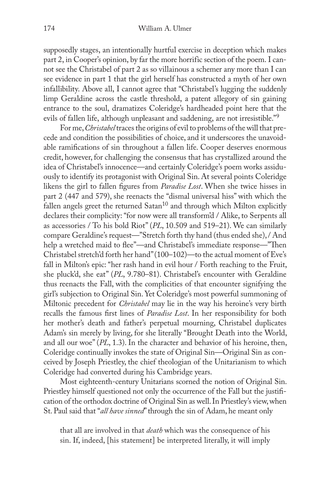supposedly stages, an intentionally hurtful exercise in deception which makes part 2, in Cooper's opinion, by far the more horrific section of the poem. I cannot see the Christabel of part 2 as so villainous a schemer any more than I can see evidence in part 1 that the girl herself has constructed a myth of her own infallibility. Above all, I cannot agree that "Christabel's lugging the suddenly limp Geraldine across the castle threshold, a patent allegory of sin gaining entrance to the soul, dramatizes Coleridge's hardheaded point here that the evils of fallen life, although unpleasant and saddening, are not irresistible."<sup>9</sup>

For me, *Christabel* traces the origins of evil to problems of the will that precede and condition the possibilities of choice, and it underscores the unavoidable ramifications of sin throughout a fallen life. Cooper deserves enormous credit, however, for challenging the consensus that has crystallized around the idea of Christabel's innocence—and certainly Coleridge's poem works assiduously to identify its protagonist with Original Sin. At several points Coleridge likens the girl to fallen figures from *Paradise Lost*. When she twice hisses in part 2 (447 and 579), she reenacts the "dismal universal hiss" with which the fallen angels greet the returned  $Satan<sup>10</sup>$  and through which Milton explicitly declares their complicity: "for now were all transform'd / Alike, to Serpents all as accessories / To his bold Riot" (*PL*, 10.509 and 519–21). We can similarly compare Geraldine's request—"Stretch forth thy hand (thus ended she), / And help a wretched maid to flee"—and Christabel's immediate response—"Then Christabel stretch'd forth her hand" (100–102)—to the actual moment of Eve's fall in Milton's epic: "her rash hand in evil hour / Forth reaching to the Fruit, she pluck'd, she eat" (*PL*, 9.780–81). Christabel's encounter with Geraldine thus reenacts the Fall, with the complicities of that encounter signifying the girl's subjection to Original Sin. Yet Coleridge's most powerful summoning of Miltonic precedent for *Christabel* may lie in the way his heroine's very birth recalls the famous first lines of *Paradise Lost*. In her responsibility for both her mother's death and father's perpetual mourning, Christabel duplicates Adam's sin merely by living, for she literally "Brought Death into the World, and all our woe" (*PL*, 1.3). In the character and behavior of his heroine, then, Coleridge continually invokes the state of Original Sin—Original Sin as conceived by Joseph Priestley, the chief theologian of the Unitarianism to which Coleridge had converted during his Cambridge years.

Most eighteenth-century Unitarians scorned the notion of Original Sin. Priestley himself questioned not only the occurrence of the Fall but the justification of the orthodox doctrine of Original Sin as well. In Priestley's view, when St. Paul said that "*all have sinned*" through the sin of Adam, he meant only

that all are involved in that *death* which was the consequence of his sin. If, indeed, [his statement] be interpreted literally, it will imply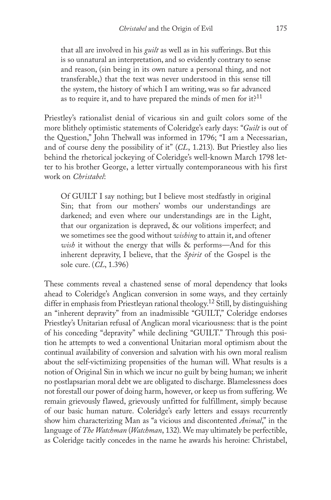that all are involved in his *guilt* as well as in his sufferings. But this is so unnatural an interpretation, and so evidently contrary to sense and reason, (sin being in its own nature a personal thing, and not transferable,) that the text was never understood in this sense till the system, the history of which I am writing, was so far advanced as to require it, and to have prepared the minds of men for it?<sup>11</sup>

Priestley's rationalist denial of vicarious sin and guilt colors some of the more blithely optimistic statements of Coleridge's early days: "*Guilt* is out of the Question," John Thelwall was informed in 1796; "I am a Necessarian, and of course deny the possibility of it" (*CL*, 1.213). But Priestley also lies behind the rhetorical jockeying of Coleridge's well-known March 1798 letter to his brother George, a letter virtually contemporaneous with his first work on *Christabel*:

Of GUILT I say nothing; but I believe most stedfastly in original Sin; that from our mothers' wombs our understandings are darkened; and even where our understandings are in the Light, that our organization is depraved, & our volitions imperfect; and we sometimes see the good without *wishing* to attain it, and oftener *wish* it without the energy that wills & performs—And for this inherent depravity, I believe, that the *Spirit* of the Gospel is the sole cure. (*CL*, 1.396)

These comments reveal a chastened sense of moral dependency that looks ahead to Coleridge's Anglican conversion in some ways, and they certainly differ in emphasis from Priestleyan rational theology.12 Still, by distinguishing an "inherent depravity" from an inadmissible "GUILT," Coleridge endorses Priestley's Unitarian refusal of Anglican moral vicariousness: that is the point of his conceding "depravity" while declining "GUILT." Through this position he attempts to wed a conventional Unitarian moral optimism about the continual availability of conversion and salvation with his own moral realism about the self-victimizing propensities of the human will. What results is a notion of Original Sin in which we incur no guilt by being human; we inherit no postlapsarian moral debt we are obligated to discharge. Blamelessness does not forestall our power of doing harm, however, or keep us from suffering. We remain grievously flawed, grievously unfitted for fulfillment, simply because of our basic human nature. Coleridge's early letters and essays recurrently show him characterizing Man as "a vicious and discontented *Animal*," in the language of *The Watchman* (*Watchman*, 132). We may ultimately be perfectible, as Coleridge tacitly concedes in the name he awards his heroine: Christabel,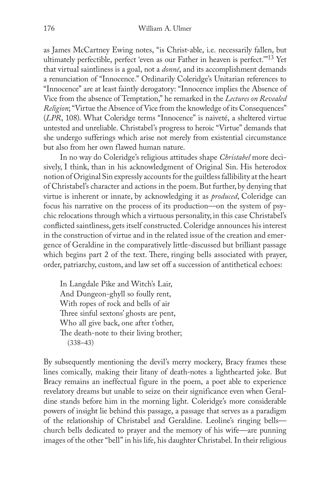as James McCartney Ewing notes, "is Christ-able, i.e. necessarily fallen, but ultimately perfectible, perfect 'even as our Father in heaven is perfect."<sup>13</sup> Yet that virtual saintliness is a goal, not a *donné*, and its accomplishment demands a renunciation of "Innocence." Ordinarily Coleridge's Unitarian references to "Innocence" are at least faintly derogatory: "Innocence implies the Absence of Vice from the absence of Temptation," he remarked in the *Lectures on Revealed Religion*; "Virtue the Absence of Vice from the knowledge of its Consequences" (*LPR*, 108). What Coleridge terms "Innocence" is naiveté, a sheltered virtue untested and unreliable. Christabel's progress to heroic "Virtue" demands that she undergo sufferings which arise not merely from existential circumstance but also from her own flawed human nature.

In no way do Coleridge's religious attitudes shape *Christabel* more decisively, I think, than in his acknowledgment of Original Sin. His heterodox notion of Original Sin expressly accounts for the guiltless fallibility at the heart of Christabel's character and actions in the poem. But further, by denying that virtue is inherent or innate, by acknowledging it as *produced*, Coleridge can focus his narrative on the process of its production—on the system of psychic relocations through which a virtuous personality, in this case Christabel's conflicted saintliness, gets itself constructed. Coleridge announces his interest in the construction of virtue and in the related issue of the creation and emergence of Geraldine in the comparatively little-discussed but brilliant passage which begins part 2 of the text. There, ringing bells associated with prayer, order, patriarchy, custom, and law set off a succession of antithetical echoes:

In Langdale Pike and Witch's Lair, And Dungeon-ghyll so foully rent, With ropes of rock and bells of air Three sinful sextons' ghosts are pent, Who all give back, one after t'other, The death-note to their living brother; (338–43)

By subsequently mentioning the devil's merry mockery, Bracy frames these lines comically, making their litany of death-notes a lighthearted joke. But Bracy remains an ineffectual figure in the poem, a poet able to experience revelatory dreams but unable to seize on their significance even when Geraldine stands before him in the morning light. Coleridge's more considerable powers of insight lie behind this passage, a passage that serves as a paradigm of the relationship of Christabel and Geraldine. Leoline's ringing bells church bells dedicated to prayer and the memory of his wife—are punning images of the other "bell" in his life, his daughter Christabel. In their religious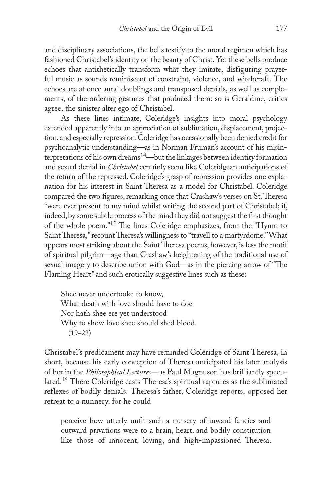and disciplinary associations, the bells testify to the moral regimen which has fashioned Christabel's identity on the beauty of Christ. Yet these bells produce echoes that antithetically transform what they imitate, disfiguring prayerful music as sounds reminiscent of constraint, violence, and witchcraft. The echoes are at once aural doublings and transposed denials, as well as complements, of the ordering gestures that produced them: so is Geraldine, critics agree, the sinister alter ego of Christabel.

As these lines intimate, Coleridge's insights into moral psychology extended apparently into an appreciation of sublimation, displacement, projection, and especially repression. Coleridge has occasionally been denied credit for psychoanalytic understanding—as in Norman Fruman's account of his misinterpretations of his own dreams14—but the linkages between identity formation and sexual denial in *Christabel* certainly seem like Coleridgean anticipations of the return of the repressed. Coleridge's grasp of repression provides one explanation for his interest in Saint Theresa as a model for Christabel. Coleridge compared the two figures, remarking once that Crashaw's verses on St. Theresa "were ever present to my mind whilst writing the second part of Christabel; if, indeed, by some subtle process of the mind they did not suggest the first thought of the whole poem." $15$  The lines Coleridge emphasizes, from the "Hymn to Saint Theresa," recount Theresa's willingness to "travell to a martyrdome." What appears most striking about the Saint Theresa poems, however, is less the motif of spiritual pilgrim—age than Crashaw's heightening of the traditional use of sexual imagery to describe union with God—as in the piercing arrow of "The Flaming Heart" and such erotically suggestive lines such as these:

Shee never undertooke to know, What death with love should have to doe Nor hath shee ere yet understood Why to show love shee should shed blood.  $(19-22)$ 

Christabel's predicament may have reminded Coleridge of Saint Theresa, in short, because his early conception of Theresa anticipated his later analysis of her in the *Philosophical Lectures*—as Paul Magnuson has brilliantly speculated.16 There Coleridge casts Theresa's spiritual raptures as the sublimated reflexes of bodily denials. Theresa's father, Coleridge reports, opposed her retreat to a nunnery, for he could

perceive how utterly unfit such a nursery of inward fancies and outward privations were to a brain, heart, and bodily constitution like those of innocent, loving, and high-impassioned Theresa.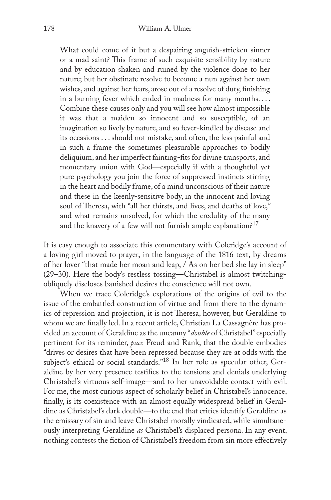What could come of it but a despairing anguish-stricken sinner or a mad saint? This frame of such exquisite sensibility by nature and by education shaken and ruined by the violence done to her nature; but her obstinate resolve to become a nun against her own wishes, and against her fears, arose out of a resolve of duty, finishing in a burning fever which ended in madness for many months. . . . Combine these causes only and you will see how almost impossible it was that a maiden so innocent and so susceptible, of an imagination so lively by nature, and so fever-kindled by disease and its occasions . . . should not mistake, and often, the less painful and in such a frame the sometimes pleasurable approaches to bodily deliquium, and her imperfect fainting-fits for divine transports, and momentary union with God—especially if with a thoughtful yet pure psychology you join the force of suppressed instincts stirring in the heart and bodily frame, of a mind unconscious of their nature and these in the keenly-sensitive body, in the innocent and loving soul of Theresa, with "all her thirsts, and lives, and deaths of love," and what remains unsolved, for which the credulity of the many and the knavery of a few will not furnish ample explanation?<sup>17</sup>

It is easy enough to associate this commentary with Coleridge's account of a loving girl moved to prayer, in the language of the 1816 text, by dreams of her lover "that made her moan and leap, / As on her bed she lay in sleep" (29–30). Here the body's restless tossing—Christabel is almost twitchingobliquely discloses banished desires the conscience will not own.

When we trace Coleridge's explorations of the origins of evil to the issue of the embattled construction of virtue and from there to the dynamics of repression and projection, it is not Theresa, however, but Geraldine to whom we are finally led. In a recent article, Christian La Cassagnère has provided an account of Geraldine as the uncanny "*double* of Christabel" especially pertinent for its reminder, *pace* Freud and Rank, that the double embodies "drives or desires that have been repressed because they are at odds with the subject's ethical or social standards."18 In her role as specular other, Geraldine by her very presence testifies to the tensions and denials underlying Christabel's virtuous self-image—and to her unavoidable contact with evil. For me, the most curious aspect of scholarly belief in Christabel's innocence, finally, is its coexistence with an almost equally widespread belief in Geraldine as Christabel's dark double—to the end that critics identify Geraldine as the emissary of sin and leave Christabel morally vindicated, while simultaneously interpreting Geraldine *as* Christabel's displaced persona. In any event, nothing contests the fiction of Christabel's freedom from sin more effectively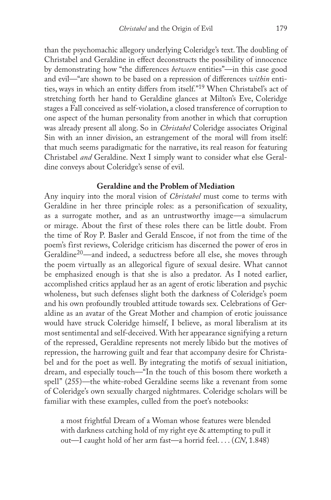than the psychomachic allegory underlying Coleridge's text. The doubling of Christabel and Geraldine in effect deconstructs the possibility of innocence by demonstrating how "the differences *between* entities"—in this case good and evil—"are shown to be based on a repression of differences *within* entities, ways in which an entity differs from itself."19 When Christabel's act of stretching forth her hand to Geraldine glances at Milton's Eve, Coleridge stages a Fall conceived as self-violation, a closed transference of corruption to one aspect of the human personality from another in which that corruption was already present all along. So in *Christabel* Coleridge associates Original Sin with an inner division, an estrangement of the moral will from itself: that much seems paradigmatic for the narrative, its real reason for featuring Christabel *and* Geraldine. Next I simply want to consider what else Geraldine conveys about Coleridge's sense of evil.

# **Geraldine and the Problem of Mediation**

Any inquiry into the moral vision of *Christabel* must come to terms with Geraldine in her three principle roles: as a personification of sexuality, as a surrogate mother, and as an untrustworthy image—a simulacrum or mirage. About the first of these roles there can be little doubt. From the time of Roy P. Basler and Gerald Enscoe, if not from the time of the poem's first reviews, Coleridge criticism has discerned the power of eros in Geraldine20—and indeed, a seductress before all else, she moves through the poem virtually as an allegorical figure of sexual desire. What cannot be emphasized enough is that she is also a predator. As I noted earlier, accomplished critics applaud her as an agent of erotic liberation and psychic wholeness, but such defenses slight both the darkness of Coleridge's poem and his own profoundly troubled attitude towards sex. Celebrations of Geraldine as an avatar of the Great Mother and champion of erotic jouissance would have struck Coleridge himself, I believe, as moral liberalism at its most sentimental and self-deceived. With her appearance signifying a return of the repressed, Geraldine represents not merely libido but the motives of repression, the harrowing guilt and fear that accompany desire for Christabel and for the poet as well. By integrating the motifs of sexual initiation, dream, and especially touch—"In the touch of this bosom there worketh a spell" (255)—the white-robed Geraldine seems like a revenant from some of Coleridge's own sexually charged nightmares. Coleridge scholars will be familiar with these examples, culled from the poet's notebooks:

a most frightful Dream of a Woman whose features were blended with darkness catching hold of my right eye & attempting to pull it out—I caught hold of her arm fast—a horrid feel. . . . (*CN*, 1.848)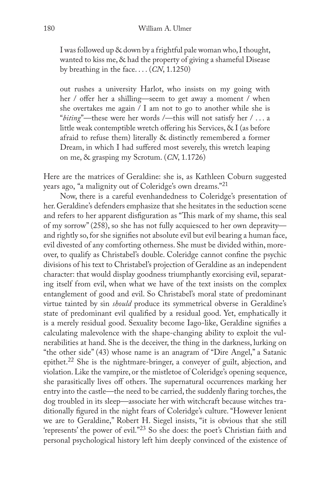I was followed up & down by a frightful pale woman who, I thought, wanted to kiss me, & had the property of giving a shameful Disease by breathing in the face. . . . (*CN*, 1.1250)

out rushes a university Harlot, who insists on my going with her / offer her a shilling—seem to get away a moment / when she overtakes me again / I am not to go to another while she is "*biting*"—these were her words /—this will not satisfy her / . . . a little weak contemptible wretch offering his Services, & I (as before afraid to refuse them) literally & distinctly remembered a former Dream, in which I had suffered most severely, this wretch leaping on me, & grasping my Scrotum. (*CN*, 1.1726)

Here are the matrices of Geraldine: she is, as Kathleen Coburn suggested years ago, "a malignity out of Coleridge's own dreams."<sup>21</sup>

Now, there is a careful evenhandedness to Coleridge's presentation of her. Geraldine's defenders emphasize that she hesitates in the seduction scene and refers to her apparent disfiguration as "This mark of my shame, this seal of my sorrow" (258), so she has not fully acquiesced to her own depravity and rightly so, for she signifies not absolute evil but evil bearing a human face, evil divested of any comforting otherness. She must be divided within, moreover, to qualify as Christabel's double. Coleridge cannot confine the psychic divisions of his text to Christabel's projection of Geraldine as an independent character: that would display goodness triumphantly exorcising evil, separating itself from evil, when what we have of the text insists on the complex entanglement of good and evil. So Christabel's moral state of predominant virtue tainted by sin *should* produce its symmetrical obverse in Geraldine's state of predominant evil qualified by a residual good. Yet, emphatically it is a merely residual good. Sexuality become Iago-like, Geraldine signifies a calculating malevolence with the shape-changing ability to exploit the vulnerabilities at hand. She is the deceiver, the thing in the darkness, lurking on "the other side" (43) whose name is an anagram of "Dire Angel," a Satanic epithet.22 She is the nightmare-bringer, a conveyer of guilt, abjection, and violation. Like the vampire, or the mistletoe of Coleridge's opening sequence, she parasitically lives off others. The supernatural occurrences marking her entry into the castle—the need to be carried, the suddenly flaring torches, the dog troubled in its sleep—associate her with witchcraft because witches traditionally figured in the night fears of Coleridge's culture. "However lenient we are to Geraldine," Robert H. Siegel insists, "it is obvious that she still 'represents' the power of evil."23 So she does: the poet's Christian faith and personal psychological history left him deeply convinced of the existence of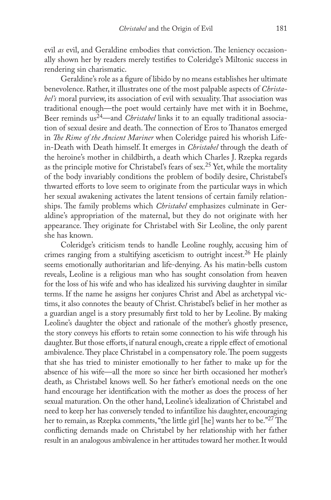evil *as* evil, and Geraldine embodies that conviction. The leniency occasionally shown her by readers merely testifies to Coleridge's Miltonic success in rendering sin charismatic.

Geraldine's role as a figure of libido by no means establishes her ultimate benevolence. Rather, it illustrates one of the most palpable aspects of *Christabel's* moral purview, its association of evil with sexuality. That association was traditional enough—the poet would certainly have met with it in Boehme, Beer reminds us<sup>24</sup>—and *Christabel* links it to an equally traditional association of sexual desire and death. The connection of Eros to Thanatos emerged in *The Rime of the Ancient Mariner* when Coleridge paired his whorish Lifein-Death with Death himself. It emerges in *Christabel* through the death of the heroine's mother in childbirth, a death which Charles J. Rzepka regards as the principle motive for Christabel's fears of sex.<sup>25</sup> Yet, while the mortality of the body invariably conditions the problem of bodily desire, Christabel's thwarted efforts to love seem to originate from the particular ways in which her sexual awakening activates the latent tensions of certain family relationships. The family problems which *Christabel* emphasizes culminate in Geraldine's appropriation of the maternal, but they do not originate with her appearance. They originate for Christabel with Sir Leoline, the only parent she has known.

Coleridge's criticism tends to handle Leoline roughly, accusing him of crimes ranging from a stultifying asceticism to outright incest.<sup>26</sup> He plainly seems emotionally authoritarian and life-denying. As his matin-bells custom reveals, Leoline is a religious man who has sought consolation from heaven for the loss of his wife and who has idealized his surviving daughter in similar terms. If the name he assigns her conjures Christ and Abel as archetypal victims, it also connotes the beauty of Christ. Christabel's belief in her mother as a guardian angel is a story presumably first told to her by Leoline. By making Leoline's daughter the object and rationale of the mother's ghostly presence, the story conveys his efforts to retain some connection to his wife through his daughter. But those efforts, if natural enough, create a ripple effect of emotional ambivalence. They place Christabel in a compensatory role. The poem suggests that she has tried to minister emotionally to her father to make up for the absence of his wife—all the more so since her birth occasioned her mother's death, as Christabel knows well. So her father's emotional needs on the one hand encourage her identification with the mother as does the process of her sexual maturation. On the other hand, Leoline's idealization of Christabel and need to keep her has conversely tended to infantilize his daughter, encouraging her to remain, as Rzepka comments, "the little girl [he] wants her to be."27 The conflicting demands made on Christabel by her relationship with her father result in an analogous ambivalence in her attitudes toward her mother. It would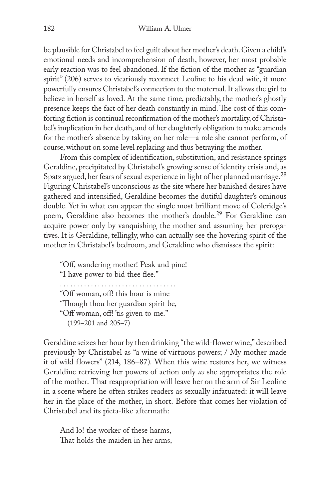be plausible for Christabel to feel guilt about her mother's death. Given a child's emotional needs and incomprehension of death, however, her most probable early reaction was to feel abandoned. If the fiction of the mother as "guardian spirit" (206) serves to vicariously reconnect Leoline to his dead wife, it more powerfully ensures Christabel's connection to the maternal. It allows the girl to believe in herself as loved. At the same time, predictably, the mother's ghostly presence keeps the fact of her death constantly in mind. The cost of this comforting fiction is continual reconfirmation of the mother's mortality, of Christabel's implication in her death, and of her daughterly obligation to make amends for the mother's absence by taking on her role—a role she cannot perform, of course, without on some level replacing and thus betraying the mother.

From this complex of identification, substitution, and resistance springs Geraldine, precipitated by Christabel's growing sense of identity crisis and, as Spatz argued, her fears of sexual experience in light of her planned marriage.<sup>28</sup> Figuring Christabel's unconscious as the site where her banished desires have gathered and intensified, Geraldine becomes the dutiful daughter's ominous double. Yet in what can appear the single most brilliant move of Coleridge's poem, Geraldine also becomes the mother's double.29 For Geraldine can acquire power only by vanquishing the mother and assuming her prerogatives. It is Geraldine, tellingly, who can actually see the hovering spirit of the mother in Christabel's bedroom, and Geraldine who dismisses the spirit:

"Off, wandering mother! Peak and pine! "I have power to bid thee flee." . . . . . . . . . . . . . . . . . . . . . . . . . . . . . . . . . . "Off woman, off! this hour is mine— "Though thou her guardian spirit be, "Off woman, off! 'tis given to me." (199–201 and 205–7)

Geraldine seizes her hour by then drinking "the wild-flower wine," described previously by Christabel as "a wine of virtuous powers; / My mother made it of wild flowers" (214, 186–87). When this wine restores her, we witness Geraldine retrieving her powers of action only *as* she appropriates the role of the mother. That reappropriation will leave her on the arm of Sir Leoline in a scene where he often strikes readers as sexually infatuated: it will leave her in the place of the mother, in short. Before that comes her violation of Christabel and its pieta-like aftermath:

And lo! the worker of these harms, That holds the maiden in her arms,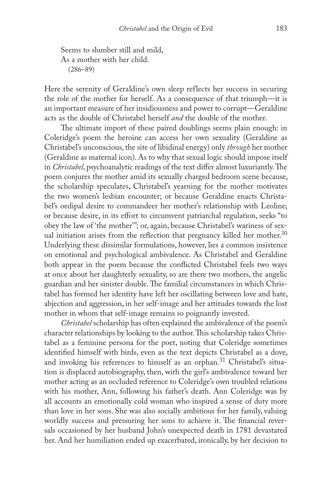Seems to slumber still and mild, As a mother with her child. (286–89)

Here the serenity of Geraldine's own sleep reflects her success in securing the role of the mother for herself. As a consequence of that triumph—it is an important measure of her insidiousness and power to corrupt—Geraldine acts as the double of Christabel herself *and* the double of the mother.

The ultimate import of these paired doublings seems plain enough: in Coleridge's poem the heroine can access her own sexuality (Geraldine as Christabel's unconscious, the site of libidinal energy) only *through* her mother (Geraldine as maternal icon). As to why that sexual logic should impose itself in *Christabel*, psychoanalytic readings of the text differ almost luxuriantly. The poem conjures the mother amid its sexually charged bedroom scene because, the scholarship speculates, Christabel's yearning for the mother motivates the two women's lesbian encounter; or because Geraldine enacts Christabel's oedipal desire to commandeer her mother's relationship with Leoline; or because desire, in its effort to circumvent patriarchal regulation, seeks "to obey the law of 'the mother'"; or, again, because Christabel's wariness of sexual initiation arises from the reflection that pregnancy killed her mother.<sup>30</sup> Underlying these dissimilar formulations, however, lies a common insistence on emotional and psychological ambivalence. As Christabel and Geraldine both appear in the poem because the conflicted Christabel feels two ways at once about her daughterly sexuality, so are there two mothers, the angelic guardian and her sinister double. The familial circumstances in which Christabel has formed her identity have left her oscillating between love and hate, abjection and aggression, in her self-image and her attitudes towards the lost mother in whom that self-image remains so poignantly invested.

*Christabel* scholarship has often explained the ambivalence of the poem's character relationships by looking to the author. This scholarship takes Christabel as a feminine persona for the poet, noting that Coleridge sometimes identified himself with birds, even as the text depicts Christabel as a dove, and invoking his references to himself as an orphan.<sup>31</sup> Christabel's situation is displaced autobiography, then, with the girl's ambivalence toward her mother acting as an occluded reference to Coleridge's own troubled relations with his mother, Ann, following his father's death. Ann Coleridge was by all accounts an emotionally cold woman who inspired a sense of duty more than love in her sons. She was also socially ambitious for her family, valuing worldly success and pressuring her sons to achieve it. The financial reversals occasioned by her husband John's unexpected death in 1781 devastated her. And her humiliation ended up exacerbated, ironically, by her decision to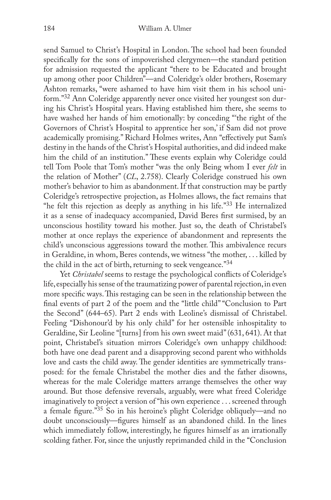send Samuel to Christ's Hospital in London. The school had been founded specifically for the sons of impoverished clergymen—the standard petition for admission requested the applicant "there to be Educated and brought up among other poor Children"—and Coleridge's older brothers, Rosemary Ashton remarks, "were ashamed to have him visit them in his school uniform."32 Ann Coleridge apparently never once visited her youngest son during his Christ's Hospital years. Having established him there, she seems to have washed her hands of him emotionally: by conceding "'the right of the Governors of Christ's Hospital to apprentice her son,' if Sam did not prove academically promising." Richard Holmes writes, Ann "effectively put Sam's destiny in the hands of the Christ's Hospital authorities, and did indeed make him the child of an institution." These events explain why Coleridge could tell Tom Poole that Tom's mother "was the only Being whom I ever *felt* in the relation of Mother" (*CL*, 2.758). Clearly Coleridge construed his own mother's behavior to him as abandonment. If that construction may be partly Coleridge's retrospective projection, as Holmes allows, the fact remains that "he felt this rejection as deeply as anything in his life."33 He internalized it as a sense of inadequacy accompanied, David Beres first surmised, by an unconscious hostility toward his mother. Just so, the death of Christabel's mother at once replays the experience of abandonment and represents the child's unconscious aggressions toward the mother. This ambivalence recurs in Geraldine, in whom, Beres contends, we witness "the mother, . . . killed by the child in the act of birth, returning to seek vengeance.<sup>"34</sup>

Yet *Christabel* seems to restage the psychological conflicts of Coleridge's life, especially his sense of the traumatizing power of parental rejection, in even more specific ways. This restaging can be seen in the relationship between the final events of part 2 of the poem and the "little child" "Conclusion to Part the Second" (644–65). Part 2 ends with Leoline's dismissal of Christabel. Feeling "Dishonour'd by his only child" for her ostensible inhospitality to Geraldine, Sir Leoline "[turns] from his own sweet maid" (631, 641). At that point, Christabel's situation mirrors Coleridge's own unhappy childhood: both have one dead parent and a disapproving second parent who withholds love and casts the child away. The gender identities are symmetrically transposed: for the female Christabel the mother dies and the father disowns, whereas for the male Coleridge matters arrange themselves the other way around. But those defensive reversals, arguably, were what freed Coleridge imaginatively to project a version of "his own experience . . . screened through a female figure."35 So in his heroine's plight Coleridge obliquely—and no doubt unconsciously—figures himself as an abandoned child. In the lines which immediately follow, interestingly, he figures himself as an irrationally scolding father. For, since the unjustly reprimanded child in the "Conclusion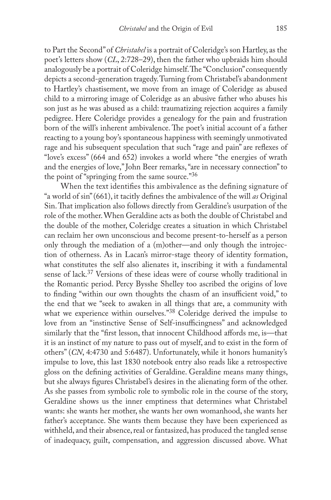to Part the Second" of *Christabel* is a portrait of Coleridge's son Hartley, as the poet's letters show (*CL*, 2:728–29), then the father who upbraids him should analogously be a portrait of Coleridge himself. The "Conclusion" consequently depicts a second-generation tragedy. Turning from Christabel's abandonment to Hartley's chastisement, we move from an image of Coleridge as abused child to a mirroring image of Coleridge as an abusive father who abuses his son just as he was abused as a child: traumatizing rejection acquires a family pedigree. Here Coleridge provides a genealogy for the pain and frustration born of the will's inherent ambivalence. The poet's initial account of a father reacting to a young boy's spontaneous happiness with seemingly unmotivated rage and his subsequent speculation that such "rage and pain" are reflexes of "love's excess" (664 and 652) invokes a world where "the energies of wrath and the energies of love," John Beer remarks, "are in necessary connection" to the point of "springing from the same source."<sup>36</sup>

When the text identifies this ambivalence as the defining signature of "a world of sin" (661), it tacitly defines the ambivalence of the will *as* Original Sin. That implication also follows directly from Geraldine's usurpation of the role of the mother. When Geraldine acts as both the double of Christabel and the double of the mother, Coleridge creates a situation in which Christabel can reclaim her own unconscious and become present-to-herself as a person only through the mediation of a (m)other—and only though the introjection of otherness. As in Lacan's mirror-stage theory of identity formation, what constitutes the self also alienates it, inscribing it with a fundamental sense of lack.<sup>37</sup> Versions of these ideas were of course wholly traditional in the Romantic period. Percy Bysshe Shelley too ascribed the origins of love to finding "within our own thoughts the chasm of an insufficient void," to the end that we "seek to awaken in all things that are, a community with what we experience within ourselves."<sup>38</sup> Coleridge derived the impulse to love from an "instinctive Sense of Self-insufficingness" and acknowledged similarly that the "first lesson, that innocent Childhood affords me, is—that it is an instinct of my nature to pass out of myself, and to exist in the form of others" (*CN*, 4:4730 and 5:6487). Unfortunately, while it honors humanity's impulse to love, this last 1830 notebook entry also reads like a retrospective gloss on the defining activities of Geraldine. Geraldine means many things, but she always figures Christabel's desires in the alienating form of the other. As she passes from symbolic role to symbolic role in the course of the story, Geraldine shows us the inner emptiness that determines what Christabel wants: she wants her mother, she wants her own womanhood, she wants her father's acceptance. She wants them because they have been experienced as withheld, and their absence, real or fantasized, has produced the tangled sense of inadequacy, guilt, compensation, and aggression discussed above. What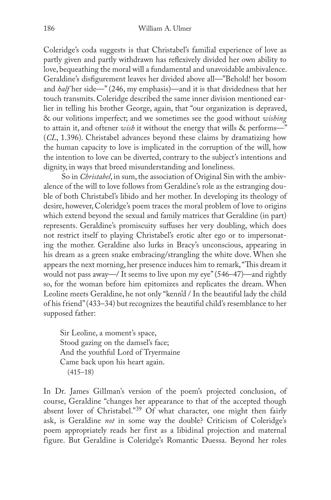Coleridge's coda suggests is that Christabel's familial experience of love as partly given and partly withdrawn has reflexively divided her own ability to love, bequeathing the moral will a fundamental and unavoidable ambivalence. Geraldine's disfigurement leaves her divided above all—"Behold! her bosom and *half* her side—" (246, my emphasis)—and it is that dividedness that her touch transmits. Coleridge described the same inner division mentioned earlier in telling his brother George, again, that "our organization is depraved, & our volitions imperfect; and we sometimes see the good without *wishing* to attain it, and oftener *wish* it without the energy that wills & performs—" (*CL*, 1.396). Christabel advances beyond these claims by dramatizing how the human capacity to love is implicated in the corruption of the will, how the intention to love can be diverted, contrary to the subject's intentions and dignity, in ways that breed misunderstanding and loneliness.

So in *Christabel*, in sum, the association of Original Sin with the ambivalence of the will to love follows from Geraldine's role as the estranging double of both Christabel's libido and her mother. In developing its theology of desire, however, Coleridge's poem traces the moral problem of love to origins which extend beyond the sexual and family matrices that Geraldine (in part) represents. Geraldine's promiscuity suffuses her very doubling, which does not restrict itself to playing Christabel's erotic alter ego or to impersonating the mother. Geraldine also lurks in Bracy's unconscious, appearing in his dream as a green snake embracing/strangling the white dove. When she appears the next morning, her presence induces him to remark, "This dream it would not pass away—/ It seems to live upon my eye" (546–47)—and rightly so, for the woman before him epitomizes and replicates the dream. When Leoline meets Geraldine, he not only "kenn'd / In the beautiful lady the child of his friend" (433–34) but recognizes the beautiful child's resemblance to her supposed father:

Sir Leoline, a moment's space, Stood gazing on the damsel's face; And the youthful Lord of Tryermaine Came back upon his heart again. (415–18)

In Dr. James Gillman's version of the poem's projected conclusion, of course, Geraldine "changes her appearance to that of the accepted though absent lover of Christabel."39 Of what character, one might then fairly ask, is Geraldine *not* in some way the double? Criticism of Coleridge's poem appropriately reads her first as a libidinal projection and maternal figure. But Geraldine is Coleridge's Romantic Duessa. Beyond her roles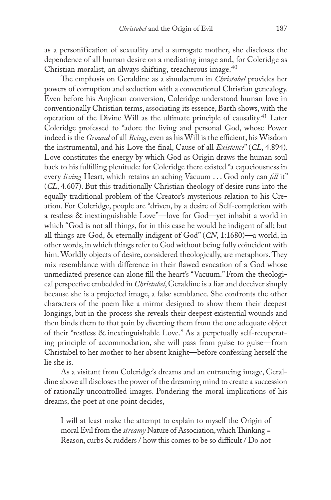as a personification of sexuality and a surrogate mother, she discloses the dependence of all human desire on a mediating image and, for Coleridge as Christian moralist, an always shifting, treacherous image.<sup>40</sup>

The emphasis on Geraldine as a simulacrum in *Christabel* provides her powers of corruption and seduction with a conventional Christian genealogy. Even before his Anglican conversion, Coleridge understood human love in conventionally Christian terms, associating its essence, Barth shows, with the operation of the Divine Will as the ultimate principle of causality.<sup>41</sup> Later Coleridge professed to "adore the living and personal God, whose Power indeed is the *Ground* of all *Being*, even as his Will is the efficient, his Wisdom the instrumental, and his Love the final, Cause of all *Existence*" (*CL*, 4.894). Love constitutes the energy by which God as Origin draws the human soul back to his fulfilling plenitude: for Coleridge there existed "a capaciousness in every *living* Heart, which retains an aching Vacuum . . . God only can *fill* it" (*CL*, 4.607). But this traditionally Christian theology of desire runs into the equally traditional problem of the Creator's mysterious relation to his Creation. For Coleridge, people are "driven, by a desire of Self-completion with a restless & inextinguishable Love"—love for God—yet inhabit a world in which "God is not all things, for in this case he would be indigent of all; but all things are God, & eternally indigent of God" (*CN*, 1:1680)—a world, in other words, in which things refer to God without being fully coincident with him. Worldly objects of desire, considered theologically, are metaphors. They mix resemblance with difference in their flawed evocation of a God whose unmediated presence can alone fill the heart's "Vacuum." From the theological perspective embedded in *Christabel*, Geraldine is a liar and deceiver simply because she is a projected image, a false semblance. She confronts the other characters of the poem like a mirror designed to show them their deepest longings, but in the process she reveals their deepest existential wounds and then binds them to that pain by diverting them from the one adequate object of their "restless & inextinguishable Love." As a perpetually self-recuperating principle of accommodation, she will pass from guise to guise—from Christabel to her mother to her absent knight—before confessing herself the lie she is.

As a visitant from Coleridge's dreams and an entrancing image, Geraldine above all discloses the power of the dreaming mind to create a succession of rationally uncontrolled images. Pondering the moral implications of his dreams, the poet at one point decides,

I will at least make the attempt to explain to myself the Origin of moral Evil from the *streamy* Nature of Association, which Thinking = Reason, curbs & rudders / how this comes to be so difficult / Do not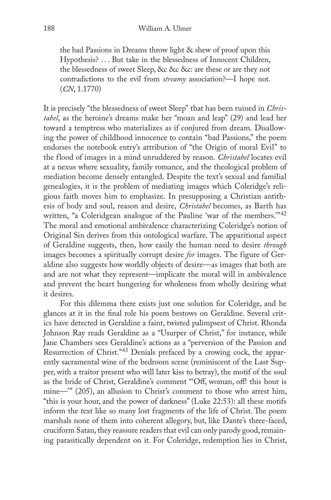the bad Passions in Dreams throw light & shew of proof upon this Hypothesis? ... But take in the blessedness of Innocent Children, the blessedness of sweet Sleep, &c &c &c: are these or are they not contradictions to the evil from *streamy* association?—I hope not. (*CN*, 1.1770)

It is precisely "the blessedness of sweet Sleep" that has been ruined in *Christabel*, as the heroine's dreams make her "moan and leap" (29) and lead her toward a temptress who materializes as if conjured from dream. Disallowing the power of childhood innocence to contain "bad Passions," the poem endorses the notebook entry's attribution of "the Origin of moral Evil" to the flood of images in a mind unruddered by reason. *Christabel* locates evil at a nexus where sexuality, family romance, and the theological problem of mediation become densely entangled. Despite the text's sexual and familial genealogies, it is the problem of mediating images which Coleridge's religious faith moves him to emphasize. In presupposing a Christian antithesis of body and soul, reason and desire, *Christabel* becomes, as Barth has written, "a Coleridgean analogue of the Pauline 'war of the members."<sup>42</sup> The moral and emotional ambivalence characterizing Coleridge's notion of Original Sin derives from this ontological warfare. The apparitional aspect of Geraldine suggests, then, how easily the human need to desire *through* images becomes a spiritually corrupt desire *for* images. The figure of Geraldine also suggests how worldly objects of desire—as images that both are and are not what they represent—implicate the moral will in ambivalence and prevent the heart hungering for wholeness from wholly desiring what it desires.

For this dilemma there exists just one solution for Coleridge, and he glances at it in the final role his poem bestows on Geraldine. Several critics have detected in Geraldine a faint, twisted palimpsest of Christ. Rhonda Johnson Ray reads Geraldine as a "Usurper of Christ," for instance, while Jane Chambers sees Geraldine's actions as a "perversion of the Passion and Resurrection of Christ."43 Denials prefaced by a crowing cock, the apparently sacramental wine of the bedroom scene (reminiscent of the Last Supper, with a traitor present who will later kiss to betray), the motif of the soul as the bride of Christ, Geraldine's comment "'Off, woman, off! this hour is mine—'" (205), an allusion to Christ's comment to those who arrest him, "this is your hour, and the power of darkness" (Luke 22:53): all these motifs inform the text like so many lost fragments of the life of Christ. The poem marshals none of them into coherent allegory, but, like Dante's three-faced, cruciform Satan, they reassure readers that evil can only parody good, remaining parasitically dependent on it. For Coleridge, redemption lies in Christ,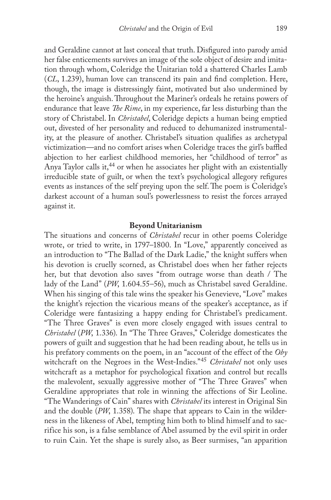and Geraldine cannot at last conceal that truth. Disfigured into parody amid her false enticements survives an image of the sole object of desire and imitation through whom, Coleridge the Unitarian told a shattered Charles Lamb (*CL*, 1.239), human love can transcend its pain and find completion. Here, though, the image is distressingly faint, motivated but also undermined by the heroine's anguish. Throughout the Mariner's ordeals he retains powers of endurance that leave *The Rime*, in my experience, far less disturbing than the story of Christabel. In *Christabel*, Coleridge depicts a human being emptied out, divested of her personality and reduced to dehumanized instrumentality, at the pleasure of another. Christabel's situation qualifies as archetypal victimization—and no comfort arises when Coleridge traces the girl's baffled abjection to her earliest childhood memories, her "childhood of terror" as Anya Taylor calls it,  $44$  or when he associates her plight with an existentially irreducible state of guilt, or when the text's psychological allegory refigures events as instances of the self preying upon the self. The poem is Coleridge's darkest account of a human soul's powerlessness to resist the forces arrayed against it.

### **Beyond Unitarianism**

The situations and concerns of *Christabel* recur in other poems Coleridge wrote, or tried to write, in 1797–1800. In "Love," apparently conceived as an introduction to "The Ballad of the Dark Ladie," the knight suffers when his devotion is cruelly scorned, as Christabel does when her father rejects her, but that devotion also saves "from outrage worse than death / The lady of the Land" (*PW*, 1.604.55–56), much as Christabel saved Geraldine. When his singing of this tale wins the speaker his Genevieve, "Love" makes the knight's rejection the vicarious means of the speaker's acceptance, as if Coleridge were fantasizing a happy ending for Christabel's predicament. "The Three Graves" is even more closely engaged with issues central to *Christabel* (*PW*, 1.336). In "The Three Graves," Coleridge domesticates the powers of guilt and suggestion that he had been reading about, he tells us in his prefatory comments on the poem, in an "account of the effect of the *Oby* witchcraft on the Negroes in the West-Indies."<sup>45</sup> *Christabel* not only uses witchcraft as a metaphor for psychological fixation and control but recalls the malevolent, sexually aggressive mother of "The Three Graves" when Geraldine appropriates that role in winning the affections of Sir Leoline. "The Wanderings of Cain" shares with *Christabel* its interest in Original Sin and the double (*PW*, 1.358). The shape that appears to Cain in the wilderness in the likeness of Abel, tempting him both to blind himself and to sacrifice his son, is a false semblance of Abel assumed by the evil spirit in order to ruin Cain. Yet the shape is surely also, as Beer surmises, "an apparition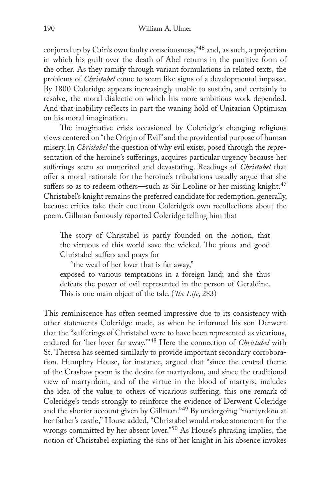conjured up by Cain's own faulty consciousness,"46 and, as such, a projection in which his guilt over the death of Abel returns in the punitive form of the other. As they ramify through variant formulations in related texts, the problems of *Christabel* come to seem like signs of a developmental impasse. By 1800 Coleridge appears increasingly unable to sustain, and certainly to resolve, the moral dialectic on which his more ambitious work depended. And that inability reflects in part the waning hold of Unitarian Optimism on his moral imagination.

The imaginative crisis occasioned by Coleridge's changing religious views centered on "the Origin of Evil" and the providential purpose of human misery. In *Christabel* the question of why evil exists, posed through the representation of the heroine's sufferings, acquires particular urgency because her sufferings seem so unmerited and devastating. Readings of *Christabel* that offer a moral rationale for the heroine's tribulations usually argue that she suffers so as to redeem others—such as Sir Leoline or her missing knight.<sup>47</sup> Christabel's knight remains the preferred candidate for redemption, generally, because critics take their cue from Coleridge's own recollections about the poem. Gillman famously reported Coleridge telling him that

The story of Christabel is partly founded on the notion, that the virtuous of this world save the wicked. The pious and good Christabel suffers and prays for

"the weal of her lover that is far away,"

exposed to various temptations in a foreign land; and she thus defeats the power of evil represented in the person of Geraldine. This is one main object of the tale. (*The Life*, 283)

This reminiscence has often seemed impressive due to its consistency with other statements Coleridge made, as when he informed his son Derwent that the "sufferings of Christabel were to have been represented as vicarious, endured for 'her lover far away.'"48 Here the connection of *Christabel* with St. Theresa has seemed similarly to provide important secondary corroboration. Humphry House, for instance, argued that "since the central theme of the Crashaw poem is the desire for martyrdom, and since the traditional view of martyrdom, and of the virtue in the blood of martyrs, includes the idea of the value to others of vicarious suffering, this one remark of Coleridge's tends strongly to reinforce the evidence of Derwent Coleridge and the shorter account given by Gillman."49 By undergoing "martyrdom at her father's castle," House added, "Christabel would make atonement for the wrongs committed by her absent lover."50 As House's phrasing implies, the notion of Christabel expiating the sins of her knight in his absence invokes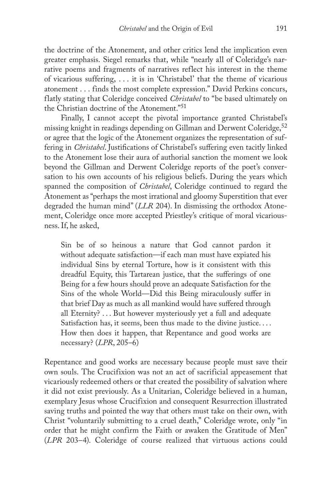the doctrine of the Atonement, and other critics lend the implication even greater emphasis. Siegel remarks that, while "nearly all of Coleridge's narrative poems and fragments of narratives reflect his interest in the theme of vicarious suffering, . . . it is in 'Christabel' that the theme of vicarious atonement . . . finds the most complete expression." David Perkins concurs, flatly stating that Coleridge conceived *Christabel* to "be based ultimately on the Christian doctrine of the Atonement."<sup>51</sup>

Finally, I cannot accept the pivotal importance granted Christabel's missing knight in readings depending on Gillman and Derwent Coleridge,<sup>52</sup> or agree that the logic of the Atonement organizes the representation of suffering in *Christabel*. Justifications of Christabel's suffering even tacitly linked to the Atonement lose their aura of authorial sanction the moment we look beyond the Gillman and Derwent Coleridge reports of the poet's conversation to his own accounts of his religious beliefs. During the years which spanned the composition of *Christabel*, Coleridge continued to regard the Atonement as "perhaps the most irrational and gloomy Superstition that ever degraded the human mind" (*LLR* 204). In dismissing the orthodox Atonement, Coleridge once more accepted Priestley's critique of moral vicariousness. If, he asked,

Sin be of so heinous a nature that God cannot pardon it without adequate satisfaction—if each man must have expiated his individual Sins by eternal Torture, how is it consistent with this dreadful Equity, this Tartarean justice, that the sufferings of one Being for a few hours should prove an adequate Satisfaction for the Sins of the whole World—Did this Being miraculously suffer in that brief Day as much as all mankind would have suffered through all Eternity? . . . But however mysteriously yet a full and adequate Satisfaction has, it seems, been thus made to the divine justice.... How then does it happen, that Repentance and good works are necessary? (*LPR*, 205–6)

Repentance and good works are necessary because people must save their own souls. The Crucifixion was not an act of sacrificial appeasement that vicariously redeemed others or that created the possibility of salvation where it did not exist previously. As a Unitarian, Coleridge believed in a human, exemplary Jesus whose Crucifixion and consequent Resurrection illustrated saving truths and pointed the way that others must take on their own, with Christ "voluntarily submitting to a cruel death," Coleridge wrote, only "in order that he might confirm the Faith or awaken the Gratitude of Men" (*LPR* 203–4). Coleridge of course realized that virtuous actions could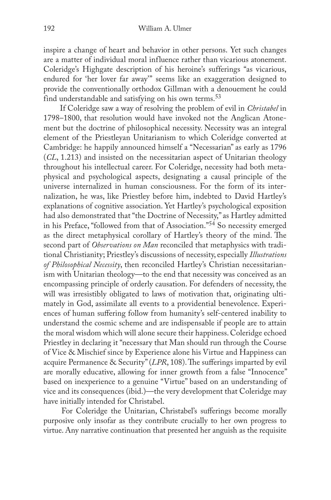inspire a change of heart and behavior in other persons. Yet such changes are a matter of individual moral influence rather than vicarious atonement. Coleridge's Highgate description of his heroine's sufferings "as vicarious, endured for 'her lover far away'" seems like an exaggeration designed to provide the conventionally orthodox Gillman with a denouement he could find understandable and satisfying on his own terms.<sup>53</sup>

If Coleridge saw a way of resolving the problem of evil in *Christabel* in 1798–1800, that resolution would have invoked not the Anglican Atonement but the doctrine of philosophical necessity. Necessity was an integral element of the Priestleyan Unitarianism to which Coleridge converted at Cambridge: he happily announced himself a "Necessarian" as early as 1796 (*CL*, 1.213) and insisted on the necessitarian aspect of Unitarian theology throughout his intellectual career. For Coleridge, necessity had both metaphysical and psychological aspects, designating a causal principle of the universe internalized in human consciousness. For the form of its internalization, he was, like Priestley before him, indebted to David Hartley's explanations of cognitive association. Yet Hartley's psychological exposition had also demonstrated that "the Doctrine of Necessity," as Hartley admitted in his Preface, "followed from that of Association."54 So necessity emerged as the direct metaphysical corollary of Hartley's theory of the mind. The second part of *Observations on Man* reconciled that metaphysics with traditional Christianity; Priestley's discussions of necessity, especially *Illustrations of Philosophical Necessity*, then reconciled Hartley's Christian necessitarianism with Unitarian theology—to the end that necessity was conceived as an encompassing principle of orderly causation. For defenders of necessity, the will was irresistibly obligated to laws of motivation that, originating ultimately in God, assimilate all events to a providential benevolence. Experiences of human suffering follow from humanity's self-centered inability to understand the cosmic scheme and are indispensable if people are to attain the moral wisdom which will alone secure their happiness. Coleridge echoed Priestley in declaring it "necessary that Man should run through the Course of Vice & Mischief since by Experience alone his Virtue and Happiness can acquire Permanence & Security" (*LPR*, 108). The sufferings imparted by evil are morally educative, allowing for inner growth from a false "Innocence" based on inexperience to a genuine "Virtue" based on an understanding of vice and its consequences (ibid.)—the very development that Coleridge may have initially intended for Christabel.

For Coleridge the Unitarian, Christabel's sufferings become morally purposive only insofar as they contribute crucially to her own progress to virtue. Any narrative continuation that presented her anguish as the requisite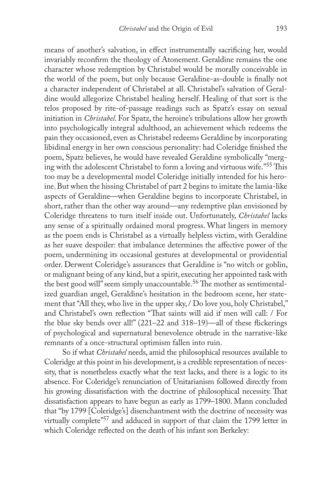means of another's salvation, in effect instrumentally sacrificing her, would invariably reconfirm the theology of Atonement. Geraldine remains the one character whose redemption by Christabel would be morally conceivable in the world of the poem, but only because Geraldine-as-double is finally not a character independent of Christabel at all. Christabel's salvation of Geraldine would allegorize Christabel healing herself. Healing of that sort is the telos proposed by rite-of-passage readings such as Spatz's essay on sexual initiation in *Christabel*. For Spatz, the heroine's tribulations allow her growth into psychologically integral adulthood, an achievement which redeems the pain they occasioned, even as Christabel redeems Geraldine by incorporating libidinal energy in her own conscious personality: had Coleridge finished the poem, Spatz believes, he would have revealed Geraldine symbolically "merging with the adolescent Christabel to form a loving and virtuous wife."55 This too may be a developmental model Coleridge initially intended for his heroine. But when the hissing Christabel of part 2 begins to imitate the lamia-like aspects of Geraldine—when Geraldine begins to incorporate Christabel, in short, rather than the other way around—any redemptive plan envisioned by Coleridge threatens to turn itself inside out. Unfortunately, *Christabel* lacks any sense of a spiritually ordained moral progress. What lingers in memory as the poem ends is Christabel as a virtually helpless victim, with Geraldine as her suave despoiler: that imbalance determines the affective power of the poem, undermining its occasional gestures at developmental or providential order. Derwent Coleridge's assurances that Geraldine is "no witch or goblin, or malignant being of any kind, but a spirit, executing her appointed task with the best good will" seem simply unaccountable.<sup>56</sup> The mother as sentimentalized guardian angel, Geraldine's hesitation in the bedroom scene, her statement that "All they, who live in the upper sky, / Do love you, holy Christabel," and Christabel's own reflection "That saints will aid if men will call: / For the blue sky bends over all!" (221–22 and 318–19)—all of these flickerings of psychological and supernatural benevolence obtrude in the narrative-like remnants of a once-structural optimism fallen into ruin.

So if what *Christabel* needs, amid the philosophical resources available to Coleridge at this point in his development, is a credible representation of necessity, that is nonetheless exactly what the text lacks, and there is a logic to its absence. For Coleridge's renunciation of Unitarianism followed directly from his growing dissatisfaction with the doctrine of philosophical necessity. That dissatisfaction appears to have begun as early as 1799–1800. Mann concluded that "by 1799 [Coleridge's] disenchantment with the doctrine of necessity was virtually complete"57 and adduced in support of that claim the 1799 letter in which Coleridge reflected on the death of his infant son Berkeley: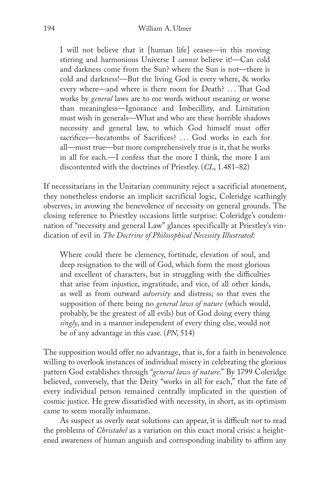I will not believe that it [human life] ceases—in this moving stirring and harmonious Universe I *cannot* believe it!—Can cold and darkness come from the Sun? where the Sun is not—there is cold and darkness!—But the living God is every where, & works every where—and where is there room for Death? . . . That God works by *general* laws are to me words without meaning or worse than meaningless—Ignorance and Imbecillity, and Limitation must wish in generals—What and who are these horrible shadows necessity and general law, to which God himself must offer sacrifices—hecatombs of Sacrifices? ... God works in each for all—most true—but more comprehensively true is it, that he works in all for each.—I confess that the more I think, the more I am discontented with the doctrines of Priestley. (*CL*, 1.481–82)

If necessitarians in the Unitarian community reject a sacrificial atonement, they nonetheless endorse an implicit sacrificial logic, Coleridge scathingly observes, in avowing the benevolence of necessity on general grounds. The closing reference to Priestley occasions little surprise: Coleridge's condemnation of "necessity and general Law" glances specifically at Priestley's vindication of evil in *The Doctrine of Philosophical Necessity Illustrated*:

Where could there be clemency, fortitude, elevation of soul, and deep resignation to the will of God, which form the most glorious and excellent of characters, but in struggling with the difficulties that arise from injustice, ingratitude, and vice, of all other kinds, as well as from outward *adversity* and distress; so that even the supposition of there being no *general laws of nature* (which would, probably, be the greatest of all evils) but of God doing every thing *singly*, and in a manner independent of every thing else, would not be of any advantage in this case. (*PN*, 514)

The supposition would offer no advantage, that is, for a faith in benevolence willing to overlook instances of individual misery in celebrating the glorious pattern God establishes through "*general laws of nature*." By 1799 Coleridge believed, conversely, that the Deity "works in all for each," that the fate of every individual person remained centrally implicated in the question of cosmic justice. He grew dissatisfied with necessity, in short, as its optimism came to seem morally inhumane.

As suspect as overly neat solutions can appear, it is difficult not to read the problems of *Christabel* as a variation on this exact moral crisis: a heightened awareness of human anguish and corresponding inability to affirm any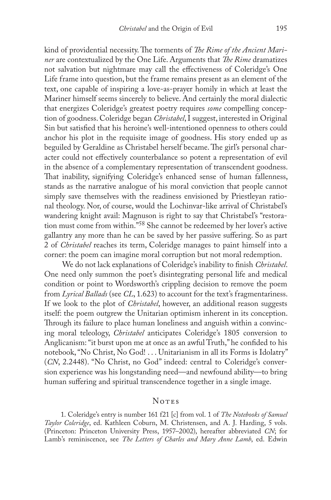kind of providential necessity. The torments of *The Rime of the Ancient Mariner* are contextualized by the One Life. Arguments that *The Rime* dramatizes not salvation but nightmare may call the effectiveness of Coleridge's One Life frame into question, but the frame remains present as an element of the text, one capable of inspiring a love-as-prayer homily in which at least the Mariner himself seems sincerely to believe. And certainly the moral dialectic that energizes Coleridge's greatest poetry requires *some* compelling conception of goodness. Coleridge began *Christabel*, I suggest, interested in Original Sin but satisfied that his heroine's well-intentioned openness to others could anchor his plot in the requisite image of goodness. His story ended up as beguiled by Geraldine as Christabel herself became. The girl's personal character could not effectively counterbalance so potent a representation of evil in the absence of a complementary representation of transcendent goodness. That inability, signifying Coleridge's enhanced sense of human fallenness, stands as the narrative analogue of his moral conviction that people cannot simply save themselves with the readiness envisioned by Priestleyan rational theology. Nor, of course, would the Lochinvar-like arrival of Christabel's wandering knight avail: Magnuson is right to say that Christabel's "restoration must come from within."58 She cannot be redeemed by her lover's active gallantry any more than he can be saved by her passive suffering. So as part 2 of *Christabel* reaches its term, Coleridge manages to paint himself into a corner: the poem can imagine moral corruption but not moral redemption.

We do not lack explanations of Coleridge's inability to finish *Christabel*. One need only summon the poet's disintegrating personal life and medical condition or point to Wordsworth's crippling decision to remove the poem from *Lyrical Ballads* (see *CL*, 1.623) to account for the text's fragmentariness. If we look to the plot of *Christabel*, however, an additional reason suggests itself: the poem outgrew the Unitarian optimism inherent in its conception. Through its failure to place human loneliness and anguish within a convincing moral teleology, *Christabel* anticipates Coleridge's 1805 conversion to Anglicanism: "it burst upon me at once as an awful Truth," he confided to his notebook, "No Christ, No God! . . . Unitarianism in all its Forms is Idolatry" (*CN*, 2.2448). "No Christ, no God" indeed: central to Coleridge's conversion experience was his longstanding need—and newfound ability—to bring human suffering and spiritual transcendence together in a single image.

## NOTES

1. Coleridge's entry is number 161 f21 [c] from vol. 1 of *The Notebooks of Samuel Taylor Coleridge*, ed. Kathleen Coburn, M. Christensen, and A. J. Harding, 5 vols. (Princeton: Princeton University Press, 1957–2002), hereafter abbreviated *CN*; for Lamb's reminiscence, see *The Letters of Charles and Mary Anne Lamb*, ed. Edwin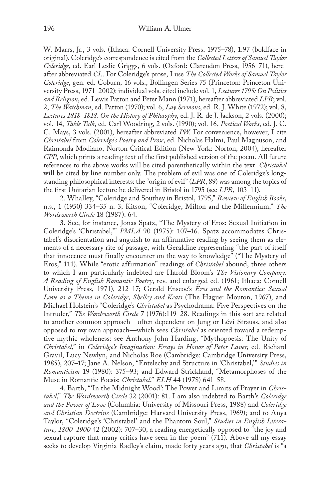W. Marrs, Jr., 3 vols. (Ithaca: Cornell University Press, 1975–78), 1:97 (boldface in original). Coleridge's correspondence is cited from the *Collected Letters of Samuel Taylor Coleridge*, ed. Earl Leslie Griggs, 6 vols. (Oxford: Clarendon Press, 1956–71), hereafter abbreviated *CL*. For Coleridge's prose, I use *The Collected Works of Samuel Taylor Coleridge*, gen. ed. Coburn, 16 vols., Bollingen Series 75 (Princeton: Princeton University Press, 1971–2002): individual vols. cited include vol. 1, *Lectures 1795: On Politics and Religion*, ed. Lewis Patton and Peter Mann (1971), hereafter abbreviated *LPR*; vol. 2, *The Watchman*, ed. Patton (1970); vol. 6, *Lay Sermons*, ed. R. J. White (1972); vol. 8, *Lectures 1818–1818: On the History of Philosophy*, ed. J. R. de J. Jackson, 2 vols. (2000); vol. 14, *Table Talk*, ed. Carl Woodring, 2 vols. (1990); vol. 16, *Poetical Works*, ed. J. C. C. Mays, 3 vols. (2001), hereafter abbreviated *PW*. For convenience, however, I cite *Christabel* from *Coleridge's Poetry and Prose*, ed. Nicholas Halmi, Paul Magnuson, and Raimonda Modiano, Norton Critical Edition (New York: Norton, 2004), hereafter *CPP*, which prints a reading text of the first published version of the poem. All future references to the above works will be cited parenthetically within the text. *Christabel* will be cited by line number only. The problem of evil was one of Coleridge's longstanding philosophical interests: the "origin of evil" (*LPR*, 89) was among the topics of the first Unitarian lecture he delivered in Bristol in 1795 (see *LPR*, 103–11).

2. Whalley, "Coleridge and Southey in Bristol, 1795," *Review of English Books*, n.s., 1 (1950) 334–35 n. 3; Kitson, "Coleridge, Milton and the Millennium," *The Wordsworth Circle* 18 (1987): 64.

3. See, for instance, Jonas Spatz, "The Mystery of Eros: Sexual Initiation in Coleridge's 'Christabel,'" *PMLA* 90 (1975): 107–16. Spatz accommodates Christabel's disorientation and anguish to an affirmative reading by seeing them as elements of a necessary rite of passage, with Geraldine representing "the part of itself that innocence must finally encounter on the way to knowledge" ("The Mystery of Eros," 111). While "erotic affirmation" readings of *Christabel* abound, three others to which I am particularly indebted are Harold Bloom's *The Visionary Company: A Reading of English Romantic Poetry*, rev. and enlarged ed. (1961; Ithaca: Cornell University Press, 1971), 212–17; Gerald Enscoe's *Eros and the Romantics: Sexual Love as a Theme in Coleridge, Shelley and Keats* (The Hague: Mouton, 1967), and Michael Holstein's "Coleridge's *Christabel* as Psychodrama: Five Perspectives on the Intruder," *The Wordsworth Circle* 7 (1976):119–28. Readings in this sort are related to another common approach—often dependent on Jung or Lévi-Strauss, and also opposed to my own approach—which sees *Christabel* as oriented toward a redemptive mythic wholeness: see Anthony John Harding, "Mythopoesis: The Unity of *Christabel*," in *Coleridge's Imagination: Essays in Honor of Peter Laver*, ed. Richard Gravil, Lucy Newlyn, and Nicholas Roe (Cambridge: Cambridge University Press, 1985), 207–17; Jane A. Nelson, "Entelechy and Structure in 'Christabel,'" *Studies in Romanticism* 19 (1980): 375–93; and Edward Strickland, "Metamorphoses of the Muse in Romantic Poesis: *Christabel*," *ELH* 44 (1978) 641–58.

4. Barth, "'In the Midnight Wood': The Power and Limits of Prayer in *Christabel*," *The Wordsworth Circle* 32 (2001): 81. I am also indebted to Barth's *Coleridge and the Power of Love* (Columbia: University of Missouri Press, 1988) and *Coleridge and Christian Doctrine* (Cambridge: Harvard University Press, 1969); and to Anya Taylor, "Coleridge's 'Christabel' and the Phantom Soul," *Studies in English Literature, 1800–1900* 42 (2002): 707–30, a reading energetically opposed to "the joy and sexual rapture that many critics have seen in the poem" (711). Above all my essay seeks to develop Virginia Radley's claim, made forty years ago, that *Christabel* is "a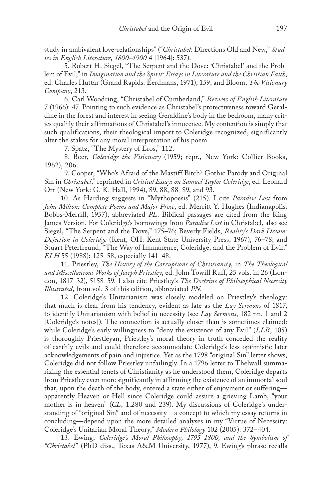study in ambivalent love-relationships" ("*Christabel*: Directions Old and New," *Studies in English Literature, 1800–1900* 4 [1964]: 537).

5. Robert H. Siegel, "The Serpent and the Dove: 'Christabel' and the Problem of Evil," in *Imagination and the Spirit: Essays in Literature and the Christian Faith*, ed. Charles Huttar (Grand Rapids: Eerdmans, 1971), 159; and Bloom, *The Visionary Company*, 213.

6. Carl Woodring, "Christabel of Cumberland," *Review of English Literature* 7 (1966): 47. Pointing to such evidence as Christabel's protectiveness toward Geraldine in the forest and interest in seeing Geraldine's body in the bedroom, many critics qualify their affirmations of Christabel's innocence. My contention is simply that such qualifications, their theological import to Coleridge recognized, significantly alter the stakes for any moral interpretation of his poem.

7. Spatz, "The Mystery of Eros," 112.

8. Beer, *Coleridge the Visionary* (1959; repr., New York: Collier Books, 1962), 206.

9. Cooper, "Who's Afraid of the Mastiff Bitch? Gothic Parody and Original Sin in *Christabel*," reprinted in *Critical Essays on Samuel Taylor Coleridge*, ed. Leonard Orr (New York: G. K. Hall, 1994), 89, 88, 88–89, and 93.

10. As Harding suggests in "Mythopoesis" (215). I cite *Paradise Lost* from *John Milton: Complete Poems and Major Prose*, ed. Merritt Y. Hughes (Indianapolis: Bobbs-Merrill, 1957), abbreviated *PL*. Biblical passages are cited from the King James Version. For Coleridge's borrowings from *Paradise Lost* in Christabel, also see Siegel, "The Serpent and the Dove," 175–76; Beverly Fields, *Reality's Dark Dream: Dejection in Coleridge* (Kent, OH: Kent State University Press, 1967), 76–78; and Stuart Peterfreund, "The Way of Immanence, Coleridge, and the Problem of Evil," *ELH* 55 (1988): 125–58, especially 141–48.

11. Priestley, *The History of the Corruptions of Christianity*, in *The Theological and Miscellaneous Works of Joseph Priestley*, ed. John Towill Ruff, 25 vols. in 26 (London, 1817–32), 5158–59. I also cite Priestley's *The Doctrine of Philosophical Necessity Illustrated*, from vol. 3 of this edition, abbreviated *PN*.

12. Coleridge's Unitarianism was closely modeled on Priestley's theology: that much is clear from his tendency, evident as late as the *Lay Sermons* of 1817, to identify Unitarianism with belief in necessity (see *Lay Sermons*, 182 nn. 1 and 2 [Coleridge's notes]). The connection is actually closer than is sometimes claimed: while Coleridge's early willingness to "deny the existence of any Evil" (*LLR*, 105) is thoroughly Priestleyan, Priestley's moral theory in truth conceded the reality of earthly evils and could therefore accommodate Coleridge's less-optimistic later acknowledgements of pain and injustice. Yet as the 1798 "original Sin" letter shows, Coleridge did not follow Priestley unfailingly. In a 1796 letter to Thelwall summarizing the essential tenets of Christianity as he understood them, Coleridge departs from Priestley even more significantly in affirming the existence of an immortal soul that, upon the death of the body, entered a state either of enjoyment or suffering apparently Heaven or Hell since Coleridge could assure a grieving Lamb, "your mother is in heaven" (*CL*, 1.280 and 239). My discussions of Coleridge's understanding of "original Sin" and of necessity—a concept to which my essay returns in concluding—depend upon the more detailed analyses in my "Virtue of Necessity: Coleridge's Unitarian Moral Theory," *Modern Philology* 102 (2005): 372–404.

13. Ewing, *Coleridge's Moral Philosophy, 1795–1800, and the Symbolism of "Christabel*" (PhD diss., Texas A&M University, 1977), 9. Ewing's phrase recalls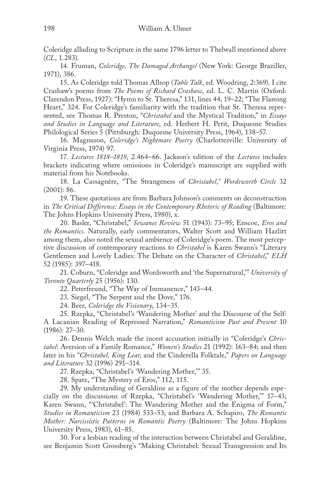Coleridge alluding to Scripture in the same 1796 letter to Thelwall mentioned above (*CL*, 1.283).

14. Fruman, *Coleridge, The Damaged Archangel* (New York: George Braziller, 1971), 386.

15. As Coleridge told Thomas Allsop (*Table Talk*, ed. Woodring, 2:369). I cite Crashaw's poems from *The Poems of Richard Crashaw*, ed. L. C. Martin (Oxford: Clarendon Press, 1927): "Hymn to St. Theresa," 131, lines 44, 19–22; "The Flaming Heart," 324. For Coleridge's familiarity with the tradition that St. Theresa represented, see Thomas R. Preston, "*Christabel* and the Mystical Tradition," in *Essays and Studies in Language and Literature*, ed. Herbert H. Petit, Duquesne Studies Philological Series 5 (Pittsburgh: Duquesne University Press, 1964), 138–57.

16. Magnuson, *Coleridge's Nightmare Poetry* (Charlottesville: University of Virginia Press, 1974) 97.

17. *Lectures 1818–1819*, 2.464–66. Jackson's edition of the *Lectures* includes brackets indicating where omissions in Coleridge's manuscript are supplied with material from his Notebooks.

18. La Cassagnère, "The Strangeness of *Christabel," Wordsworth Circle* 32 (2001): 86.

19. These quotations are from Barbara Johnson's comments on deconstruction in *The Critical Difference: Essays in the Contemporary Rhetoric of Reading* (Baltimore: The Johns Hopkins University Press, 1980), x.

20. Basler, "Christabel," *Sewanee Review* 51 (1943): 73–95; Enscoe, *Eros and the Romantics*. Naturally, early commentators, Walter Scott and William Hazlitt among them, also noted the sexual ambience of Coleridge's poem. The most perceptive discussion of contemporary reactions to *Christabel* is Karen Swann's "Literary Gentlemen and Lovely Ladies: The Debate on the Character of *Christabel*," *ELH* 52 (1985): 397–418.

21. Coburn, "Coleridge and Wordsworth and 'the Supernatural,'" *University of Toronto Quarterly* 25 (1956): 130.

22. Peterfreund, "The Way of Immanence," 143–44.

23. Siegel, "The Serpent and the Dove," 176.

24. Beer, *Coleridge the Visionary*, 134–35.

25. Rzepka, "Christabel's 'Wandering Mother' and the Discourse of the Self: A Lacanian Reading of Repressed Narration," *Romanticism Past and Present* 10 (1986): 27–30.

26. Dennis Welch made the incest accusation initially in "Coleridge's *Christabel*: Aversion of a Family Romance," *Women's Studies* 21 (1992): 163–84; and then later in his "*Christabel, King Lear*, and the Cinderella Folktale," *Papers on Language and Literature* 32 (1996) 291–314.

27. Rzepka, "Christabel's 'Wandering Mother,'" 35.

28. Spatz, "The Mystery of Eros," 112, 115.

29. My understanding of Geraldine as a figure of the mother depends especially on the discussions of Rzepka, "Christabel's 'Wandering Mother,'" 17–43; Karen Swann, "'Christabel': The Wandering Mother and the Enigma of Form," *Studies in Romanticism* 23 (1984) 533–53; and Barbara A. Schapiro, *The Romantic Mother: Narcissistic Patterns in Romantic Poetry* (Baltimore: The Johns Hopkins University Press, 1983), 61–85.

30. For a lesbian reading of the interaction between Christabel and Geraldine, see Benjamin Scott Grossberg's "Making Christabel: Sexual Transgression and Its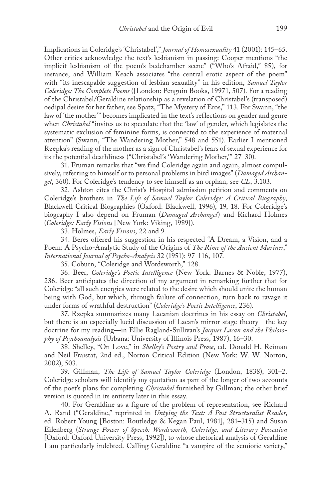Implications in Coleridge's 'Christabel'," *Journal of Homosexuality* 41 (2001): 145–65. Other critics acknowledge the text's lesbianism in passing: Cooper mentions "the implicit lesbianism of the poem's bedchamber scene" ("Who's Afraid," 85), for instance, and William Keach associates "the central erotic aspect of the poem" with "its inescapable suggestion of lesbian sexuality" in his edition, *Samuel Taylor Coleridge: The Complete Poems* ([London: Penguin Books, 19971, 507). For a reading of the Christabel/Geraldine relationship as a revelation of Christabel's (transposed) oedipal desire for her father, see Spatz, "The Mystery of Eros," 113. For Swann, "the law of 'the mother'" becomes implicated in the text's reflections on gender and genre when *Christabel* "invites us to speculate that the 'law' of gender, which legislates the systematic exclusion of feminine forms, is connected to the experience of maternal attention" (Swann, "The Wandering Mother," 548 and 551). Earlier I mentioned Rzepka's reading of the mother as a sign of Christabel's fears of sexual experience for its the potential deathliness ("Christabel's 'Wandering Mother,'" 27–30).

31. Fruman remarks that "we find Coleridge again and again, almost compulsively, referring to himself or to personal problems in bird images" (*Damaged Archangel*, 360). For Coleridge's tendency to see himself as an orphan, see *CL*, 3.103.

32. Ashton cites the Christ's Hospital admission petition and comments on Coleridge's brothers in *The Life of Samuel Taylor Coleridge: A Critical Biography*, Blackwell Critical Biographies (Oxford: Blackwell, 1996), 19, 18. For Coleridge's biography I also depend on Fruman (*Damaged Archangel*) and Richard Holmes (*Coleridge: Early Visions* [New York: Viking, 1989]).

33. Holmes, *Early Visions*, 22 and 9.

34. Beres offered his suggestion in his respected "A Dream, a Vision, and a Poem: A Psycho-Analytic Study of the Origins of *The Rime of the Ancient Mariner*," *International Journal of Psycho-Analysis* 32 (1951): 97–116, 107.

35. Coburn, "Coleridge and Wordsworth," 128.

36. Beer, *Coleridge's Poetic Intelligence* (New York: Barnes & Noble, 1977), 236. Beer anticipates the direction of my argument in remarking further that for Coleridge "all such energies were related to the desire which should unite the human being with God, but which, through failure of connection, turn back to ravage it under forms of wrathful destruction" (*Coleridge's Poetic Intelligence*, 236).

37. Rzepka summarizes many Lacanian doctrines in his essay on *Christabel*, but there is an especially lucid discussion of Lacan's mirror stage theory—the key doctrine for my reading—in Ellie Ragland-Sullivan's *Jacques Lacan and the Philosophy of Psychoanalysis* (Urbana: University of Illinois Press, 1987), 16–30.

38. Shelley, "On Love," in *Shelley's Poetry and Prose*, ed. Donald H. Reiman and Neil Fraistat, 2nd ed., Norton Critical Edition (New York: W. W. Norton, 2002), 503.

39. Gillman, *The Life of Samuel Taylor Coleridge* (London, 1838), 301–2. Coleridge scholars will identify my quotation as part of the longer of two accounts of the poet's plans for completing *Christabel* furnished by Gillman; the other brief version is quoted in its entirety later in this essay.

40. For Geraldine as a figure of the problem of representation, see Richard A. Rand ("Geraldine," reprinted in *Untying the Text: A Post Structuralist Reader*, ed. Robert Young [Boston: Routledge & Kegan Paul, 1981], 281–315) and Susan Eilenberg (*Strange Power of Speech: Wordsworth, Coleridge, and Literary Possession* [Oxford: Oxford University Press, 1992]), to whose rhetorical analysis of Geraldine I am particularly indebted. Calling Geraldine "a vampire of the semiotic variety,"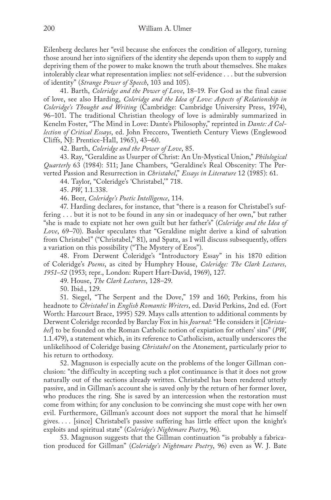Eilenberg declares her "evil because she enforces the condition of allegory, turning those around her into signifiers of the identity she depends upon them to supply and depriving them of the power to make known the truth about themselves. She makes intolerably clear what representation implies: not self-evidence . . . but the subversion of identity" (*Strange Power of Speech*, 103 and 105).

41. Barth, *Coleridge and the Power of Love*, 18–19. For God as the final cause of love, see also Harding, *Coleridge and the Idea of Love: Aspects of Relationship in Coleridge's Thought and Writing* (Cambridge: Cambridge University Press, 1974), 96–101. The traditional Christian theology of love is admirably summarized in Kenelm Foster, "The Mind in Love: Dante's Philosophy," reprinted in *Dante: A Collection of Critical Essays*, ed. John Freccero, Twentieth Century Views (Englewood Cliffs, NJ: Prentice-Hall, 1965), 43–60.

42. Barth, *Coleridge and the Power of Love*, 85.

43. Ray, "Geraldine as Usurper of Christ: An Un-Mystical Union," *Philological Quarterly* 63 (1984): 511; Jane Chambers, "Geraldine's Real Obscenity: The Perverted Passion and Resurrection in *Christabel*," *Essays in Literature* 12 (1985): 61.

44. Taylor, "Coleridge's 'Christabel,'" 718.

45. *PW*, 1.1.338.

46. Beer, *Coleridge's Poetic Intelligence*, 114.

47. Harding declares, for instance, that "there is a reason for Christabel's suffering . . . but it is not to be found in any sin or inadequacy of her own," but rather "she is made to expiate not her own guilt but her father's" (*Coleridge and the Idea of Love*, 69–70). Basler speculates that "Geraldine might derive a kind of salvation from Christabel" ("Christabel," 81), and Spatz, as I will discuss subsequently, offers a variation on this possibility ("The Mystery of Eros").

48. From Derwent Coleridge's "Introductory Essay" in his 1870 edition of Coleridge's *Poems*, as cited by Humphry House, *Coleridge: The Clark Lectures, 1951–52* (1953; repr., London: Rupert Hart-David, 1969), 127.

49. House, *The Clark Lectures*, 128–29.

50. Ibid., 129.

51. Siegel, "The Serpent and the Dove," 159 and 160; Perkins, from his headnote to *Christabel* in *English Romantic Writers*, ed. David Perkins, 2nd ed. (Fort Worth: Harcourt Brace, 1995) 529. Mays calls attention to additional comments by Derwent Coleridge recorded by Barclay Fox in his *Journal*: "He considers it [*Christabel*] to be founded on the Roman Catholic notion of expiation for others' sins" (*PW*, 1.1.479), a statement which, in its reference to Catholicism, actually underscores the unlikelihood of Coleridge basing *Christabel* on the Atonement, particularly prior to his return to orthodoxy.

52. Magnuson is especially acute on the problems of the longer Gillman conclusion: "the difficulty in accepting such a plot continuance is that it does not grow naturally out of the sections already written. Christabel has been rendered utterly passive, and in Gillman's account she is saved only by the return of her former lover, who produces the ring. She is saved by an intercession when the restoration must come from within; for any conclusion to be convincing she must cope with her own evil. Furthermore, Gillman's account does not support the moral that he himself gives. . . . [since] Christabel's passive suffering has little effect upon the knight's exploits and spiritual state" (*Coleridge's Nightmare Poetry*, 96).

53. Magnuson suggests that the Gillman continuation "is probably a fabrication produced for Gillman" (*Coleridge's Nightmare Poetry*, 96) even as W. J. Bate